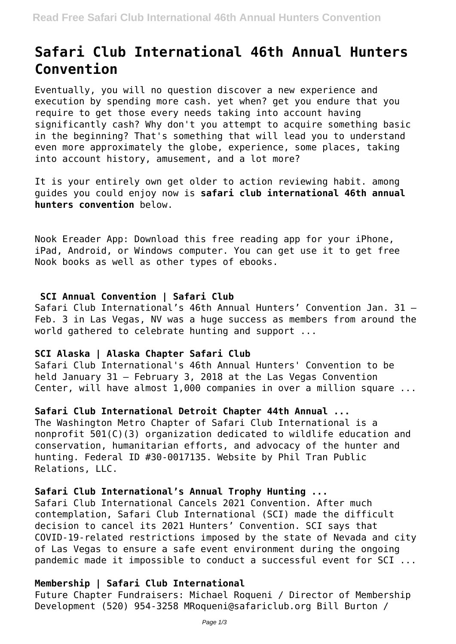# **Safari Club International 46th Annual Hunters Convention**

Eventually, you will no question discover a new experience and execution by spending more cash. yet when? get you endure that you require to get those every needs taking into account having significantly cash? Why don't you attempt to acquire something basic in the beginning? That's something that will lead you to understand even more approximately the globe, experience, some places, taking into account history, amusement, and a lot more?

It is your entirely own get older to action reviewing habit. among guides you could enjoy now is **safari club international 46th annual hunters convention** below.

Nook Ereader App: Download this free reading app for your iPhone, iPad, Android, or Windows computer. You can get use it to get free Nook books as well as other types of ebooks.

# **SCI Annual Convention | Safari Club**

Safari Club International's 46th Annual Hunters' Convention Jan. 31 – Feb. 3 in Las Vegas, NV was a huge success as members from around the world gathered to celebrate hunting and support ...

# **SCI Alaska | Alaska Chapter Safari Club**

Safari Club International's 46th Annual Hunters' Convention to be held January 31 – February 3, 2018 at the Las Vegas Convention Center, will have almost 1,000 companies in over a million square ...

# **Safari Club International Detroit Chapter 44th Annual ...**

The Washington Metro Chapter of Safari Club International is a nonprofit 501(C)(3) organization dedicated to wildlife education and conservation, humanitarian efforts, and advocacy of the hunter and hunting. Federal ID #30-0017135. Website by Phil Tran Public Relations, LLC.

#### **Safari Club International's Annual Trophy Hunting ...**

Safari Club International Cancels 2021 Convention. After much contemplation, Safari Club International (SCI) made the difficult decision to cancel its 2021 Hunters' Convention. SCI says that COVID-19-related restrictions imposed by the state of Nevada and city of Las Vegas to ensure a safe event environment during the ongoing pandemic made it impossible to conduct a successful event for SCI ...

# **Membership | Safari Club International**

Future Chapter Fundraisers: Michael Roqueni / Director of Membership Development (520) 954-3258 MRoqueni@safariclub.org Bill Burton /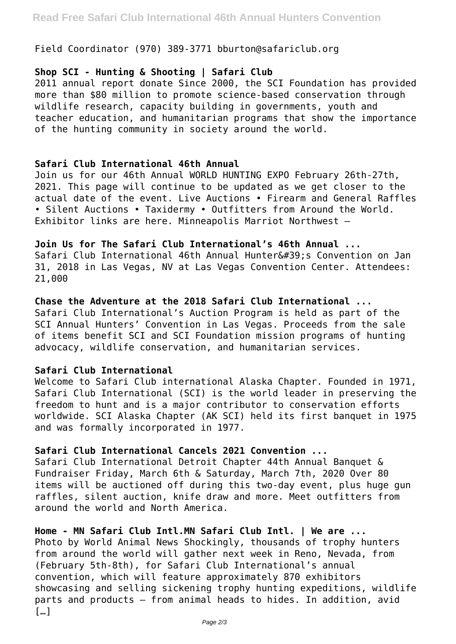Field Coordinator (970) 389-3771 bburton@safariclub.org

# **Shop SCI - Hunting & Shooting | Safari Club**

2011 annual report donate Since 2000, the SCI Foundation has provided more than \$80 million to promote science-based conservation through wildlife research, capacity building in governments, youth and teacher education, and humanitarian programs that show the importance of the hunting community in society around the world.

#### **Safari Club International 46th Annual**

Join us for our 46th Annual WORLD HUNTING EXPO February 26th-27th, 2021. This page will continue to be updated as we get closer to the actual date of the event. Live Auctions • Firearm and General Raffles • Silent Auctions • Taxidermy • Outfitters from Around the World. Exhibitor links are here. Minneapolis Marriot Northwest –

#### **Join Us for The Safari Club International's 46th Annual ...**

Safari Club International 46th Annual Hunter&#39:s Convention on Jan 31, 2018 in Las Vegas, NV at Las Vegas Convention Center. Attendees: 21,000

# **Chase the Adventure at the 2018 Safari Club International ...** Safari Club International's Auction Program is held as part of the

SCI Annual Hunters' Convention in Las Vegas. Proceeds from the sale of items benefit SCI and SCI Foundation mission programs of hunting advocacy, wildlife conservation, and humanitarian services.

# **Safari Club International**

Welcome to Safari Club international Alaska Chapter. Founded in 1971, Safari Club International (SCI) is the world leader in preserving the freedom to hunt and is a major contributor to conservation efforts worldwide. SCI Alaska Chapter (AK SCI) held its first banquet in 1975 and was formally incorporated in 1977.

# **Safari Club International Cancels 2021 Convention ...**

Safari Club International Detroit Chapter 44th Annual Banquet & Fundraiser Friday, March 6th & Saturday, March 7th, 2020 Over 80 items will be auctioned off during this two-day event, plus huge gun raffles, silent auction, knife draw and more. Meet outfitters from around the world and North America.

# **Home - MN Safari Club Intl.MN Safari Club Intl. | We are ...**

Photo by World Animal News Shockingly, thousands of trophy hunters from around the world will gather next week in Reno, Nevada, from (February 5th-8th), for Safari Club International's annual convention, which will feature approximately 870 exhibitors showcasing and selling sickening trophy hunting expeditions, wildlife parts and products – from animal heads to hides. In addition, avid  $\lceil \dots \rceil$